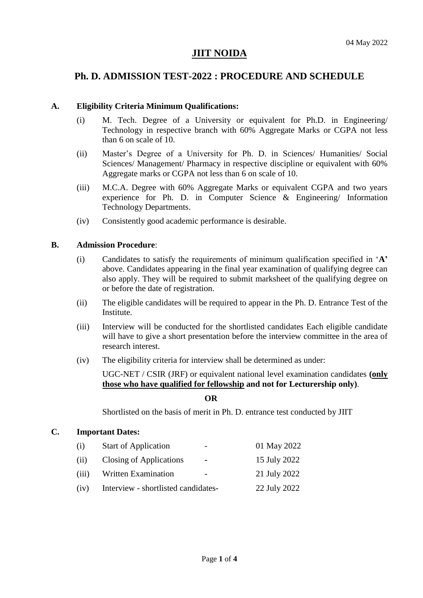# **JIIT NOIDA**

# **Ph. D. ADMISSION TEST-2022 : PROCEDURE AND SCHEDULE**

## **A. Eligibility Criteria Minimum Qualifications:**

- (i) M. Tech. Degree of a University or equivalent for Ph.D. in Engineering/ Technology in respective branch with 60% Aggregate Marks or CGPA not less than 6 on scale of 10.
- (ii) Master"s Degree of a University for Ph. D. in Sciences/ Humanities/ Social Sciences/ Management/ Pharmacy in respective discipline or equivalent with 60% Aggregate marks or CGPA not less than 6 on scale of 10.
- (iii) M.C.A. Degree with 60% Aggregate Marks or equivalent CGPA and two years experience for Ph. D. in Computer Science & Engineering/ Information Technology Departments.
- (iv) Consistently good academic performance is desirable.

## **B. Admission Procedure**:

- (i) Candidates to satisfy the requirements of minimum qualification specified in "**A'** above. Candidates appearing in the final year examination of qualifying degree can also apply. They will be required to submit marksheet of the qualifying degree on or before the date of registration.
- (ii) The eligible candidates will be required to appear in the Ph. D. Entrance Test of the Institute.
- (iii) Interview will be conducted for the shortlisted candidates Each eligible candidate will have to give a short presentation before the interview committee in the area of research interest.
- (iv) The eligibility criteria for interview shall be determined as under:

UGC-NET / CSIR (JRF) or equivalent national level examination candidates **(only those who have qualified for fellowship and not for Lecturership only)**.

#### **OR**

Shortlisted on the basis of merit in Ph. D. entrance test conducted by JIIT

## **C. Important Dates:**

| (i)   | <b>Start of Application</b><br>$\overline{\phantom{0}}$ | 01 May 2022  |
|-------|---------------------------------------------------------|--------------|
| (ii)  | Closing of Applications<br>$\blacksquare$               | 15 July 2022 |
| (iii) | <b>Written Examination</b><br>$\overline{\phantom{0}}$  | 21 July 2022 |
| (iv)  | Interview - shortlisted candidates-                     | 22 July 2022 |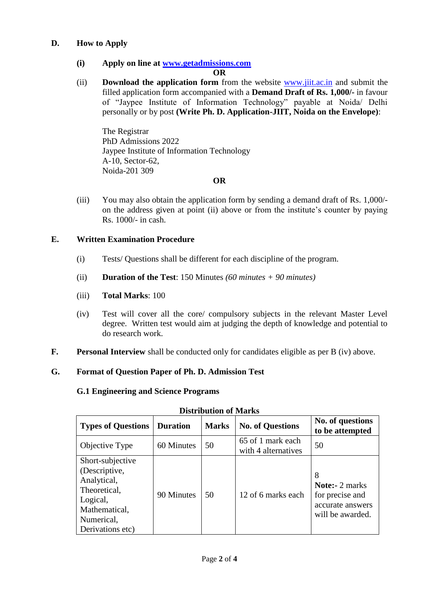# **D. How to Apply**

# **(i) Apply on line at [www.getadmissions.com](http://www.getadmissions.com/)**

#### **OR**

(ii) **Download the application form** from the website [www.jiit.ac.in](http://www.jiit.ac.in/) and submit the filled application form accompanied with a **Demand Draft of Rs. 1,000/-** in favour of "Jaypee Institute of Information Technology" payable at Noida/ Delhi personally or by post **(Write Ph. D. Application-JIIT, Noida on the Envelope)**:

The Registrar PhD Admissions 2022 Jaypee Institute of Information Technology A-10, Sector-62, Noida-201 309

## **OR**

(iii) You may also obtain the application form by sending a demand draft of Rs. 1,000/ on the address given at point (ii) above or from the institute"s counter by paying Rs. 1000/- in cash.

## **E. Written Examination Procedure**

- (i) Tests/ Questions shall be different for each discipline of the program.
- (ii) **Duration of the Test**: 150 Minutes *(60 minutes + 90 minutes)*

## (iii) **Total Marks**: 100

- (iv) Test will cover all the core/ compulsory subjects in the relevant Master Level degree. Written test would aim at judging the depth of knowledge and potential to do research work.
- **F. Personal Interview** shall be conducted only for candidates eligible as per B (iv) above.

# **G. Format of Question Paper of Ph. D. Admission Test**

## **G.1 Engineering and Science Programs**

| рюаточной от выпис                                                                                                              |                 |              |                                          |                                                                                       |  |  |
|---------------------------------------------------------------------------------------------------------------------------------|-----------------|--------------|------------------------------------------|---------------------------------------------------------------------------------------|--|--|
| <b>Types of Questions</b>                                                                                                       | <b>Duration</b> | <b>Marks</b> | <b>No. of Questions</b>                  | No. of questions<br>to be attempted                                                   |  |  |
| Objective Type                                                                                                                  | 60 Minutes      | 50           | 65 of 1 mark each<br>with 4 alternatives | 50                                                                                    |  |  |
| Short-subjective<br>(Descriptive,<br>Analytical,<br>Theoretical,<br>Logical,<br>Mathematical,<br>Numerical,<br>Derivations etc) | 90 Minutes      | 50           | 12 of 6 marks each                       | 8<br><b>Note:-</b> 2 marks<br>for precise and<br>accurate answers<br>will be awarded. |  |  |

#### **Distribution of Marks**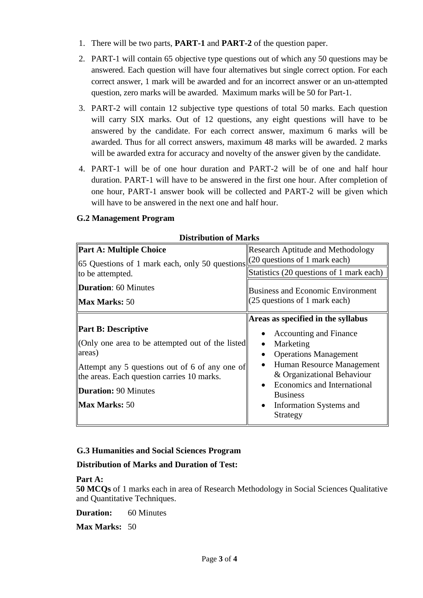- 1. There will be two parts, **PART-1** and **PART-2** of the question paper.
- 2. PART-1 will contain 65 objective type questions out of which any 50 questions may be answered. Each question will have four alternatives but single correct option. For each correct answer, 1 mark will be awarded and for an incorrect answer or an un-attempted question, zero marks will be awarded. Maximum marks will be 50 for Part-1.
- 3. PART-2 will contain 12 subjective type questions of total 50 marks. Each question will carry SIX marks. Out of 12 questions, any eight questions will have to be answered by the candidate. For each correct answer, maximum 6 marks will be awarded. Thus for all correct answers, maximum 48 marks will be awarded. 2 marks will be awarded extra for accuracy and novelty of the answer given by the candidate.
- 4. PART-1 will be of one hour duration and PART-2 will be of one and half hour duration. PART-1 will have to be answered in the first one hour. After completion of one hour, PART-1 answer book will be collected and PART-2 will be given which will have to be answered in the next one and half hour.

# **G.2 Management Program**

| <b>Research Aptitude and Methodology</b><br>(20 questions of 1 mark each)<br>Statistics (20 questions of 1 mark each)                                                                               |  |
|-----------------------------------------------------------------------------------------------------------------------------------------------------------------------------------------------------|--|
|                                                                                                                                                                                                     |  |
|                                                                                                                                                                                                     |  |
| <b>Business and Economic Environment</b><br>(25 questions of 1 mark each)                                                                                                                           |  |
| Areas as specified in the syllabus<br>Accounting and Finance<br>Marketing<br><b>Operations Management</b><br>Human Resource Management<br>& Organizational Behaviour<br>Economics and International |  |
|                                                                                                                                                                                                     |  |

## **Distribution of Marks**

# **G.3 Humanities and Social Sciences Program**

**Distribution of Marks and Duration of Test:**

## **Part A:**

**50 MCQs** of 1 marks each in area of Research Methodology in Social Sciences Qualitative and Quantitative Techniques.

**Duration:** 60 Minutes

**Max Marks:** 50